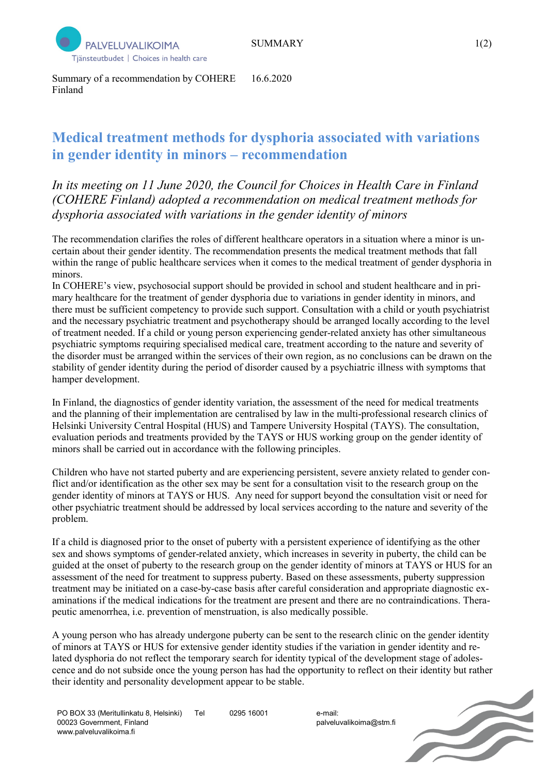

Summary of a recommendation by COHERE Finland 16.6.2020

## **Medical treatment methods for dysphoria associated with variations in gender identity in minors – recommendation**

*In its meeting on 11 June 2020, the Council for Choices in Health Care in Finland (COHERE Finland) adopted a recommendation on medical treatment methods for dysphoria associated with variations in the gender identity of minors*

The recommendation clarifies the roles of different healthcare operators in a situation where a minor is uncertain about their gender identity. The recommendation presents the medical treatment methods that fall within the range of public healthcare services when it comes to the medical treatment of gender dysphoria in minors.

In COHERE's view, psychosocial support should be provided in school and student healthcare and in primary healthcare for the treatment of gender dysphoria due to variations in gender identity in minors, and there must be sufficient competency to provide such support. Consultation with a child or youth psychiatrist and the necessary psychiatric treatment and psychotherapy should be arranged locally according to the level of treatment needed. If a child or young person experiencing gender-related anxiety has other simultaneous psychiatric symptoms requiring specialised medical care, treatment according to the nature and severity of the disorder must be arranged within the services of their own region, as no conclusions can be drawn on the stability of gender identity during the period of disorder caused by a psychiatric illness with symptoms that hamper development.

In Finland, the diagnostics of gender identity variation, the assessment of the need for medical treatments and the planning of their implementation are centralised by law in the multi-professional research clinics of Helsinki University Central Hospital (HUS) and Tampere University Hospital (TAYS). The consultation, evaluation periods and treatments provided by the TAYS or HUS working group on the gender identity of minors shall be carried out in accordance with the following principles.

Children who have not started puberty and are experiencing persistent, severe anxiety related to gender conflict and/or identification as the other sex may be sent for a consultation visit to the research group on the gender identity of minors at TAYS or HUS. Any need for support beyond the consultation visit or need for other psychiatric treatment should be addressed by local services according to the nature and severity of the problem.

If a child is diagnosed prior to the onset of puberty with a persistent experience of identifying as the other sex and shows symptoms of gender-related anxiety, which increases in severity in puberty, the child can be guided at the onset of puberty to the research group on the gender identity of minors at TAYS or HUS for an assessment of the need for treatment to suppress puberty. Based on these assessments, puberty suppression treatment may be initiated on a case-by-case basis after careful consideration and appropriate diagnostic examinations if the medical indications for the treatment are present and there are no contraindications. Therapeutic amenorrhea, i.e. prevention of menstruation, is also medically possible.

A young person who has already undergone puberty can be sent to the research clinic on the gender identity of minors at TAYS or HUS for extensive gender identity studies if the variation in gender identity and related dysphoria do not reflect the temporary search for identity typical of the development stage of adolescence and do not subside once the young person has had the opportunity to reflect on their identity but rather their identity and personality development appear to be stable.

palveluvalikoima@stm.fi